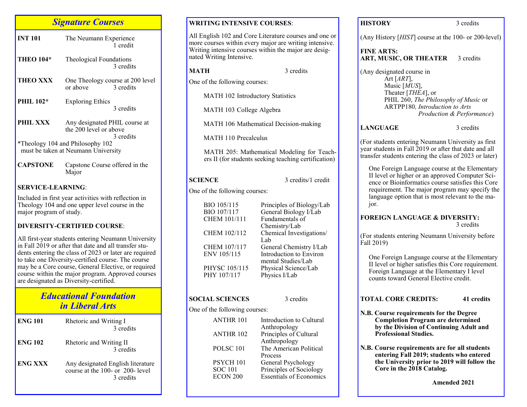| <b>Signature Courses</b>                                                |                                                         |                                               |  |  |
|-------------------------------------------------------------------------|---------------------------------------------------------|-----------------------------------------------|--|--|
| <b>INT 101</b>                                                          | The Neumann Experience                                  | 1 credit                                      |  |  |
| <b>THEO 104*</b>                                                        | Theological Foundations                                 | 3 credits                                     |  |  |
| <b>THEO XXX</b>                                                         | or above                                                | One Theology course at 200 level<br>3 credits |  |  |
| <b>PHIL 102*</b>                                                        | <b>Exploring Ethics</b>                                 | 3 credits                                     |  |  |
| PHIL XXX                                                                | Any designated PHIL course at<br>the 200 level or above | 3 credits                                     |  |  |
| *Theology 104 and Philosophy 102<br>must be taken at Neumann University |                                                         |                                               |  |  |
| CAPSTONE                                                                | Capstone Course offered in the                          |                                               |  |  |

Included in first year activities with reflection in Theology 104 and one upper level course in the major program of study.

#### **DIVERSITY-CERTIFIED COURSE**:

Major

All first-year students entering Neumann University in Fall 2019 or after that date and all transfer students entering the class of 2023 or later are required to take one Diversity-certified course. The course may be a Core course, General Elective, or required course within the major program. Approved courses are designated as Diversity-certified.

## *Educational Foundation in Liberal Arts*

| <b>ENG 101</b> | Rhetoric and Writing I<br>3 credits                                                |
|----------------|------------------------------------------------------------------------------------|
| <b>ENG 102</b> | Rhetoric and Writing II<br>3 credits                                               |
| <b>ENG XXX</b> | Any designated English literature<br>course at the 100- or 200- level<br>3 credits |

| <b>WRITING INTENSIVE COURSES:</b>                                                                                                                                                                     |                                                                                        | <b>HISTORY</b>                           |
|-------------------------------------------------------------------------------------------------------------------------------------------------------------------------------------------------------|----------------------------------------------------------------------------------------|------------------------------------------|
| All English 102 and Core Literature courses and one or<br>more courses within every major are writing intensive.<br>Writing intensive courses within the major are desig-<br>nated Writing Intensive. |                                                                                        | (Any Histo<br><b>FINE ART</b><br>ART, MU |
| <b>MATH</b>                                                                                                                                                                                           | 3 credits                                                                              | (Any desig                               |
| One of the following courses:                                                                                                                                                                         |                                                                                        | А<br><sub>N</sub>                        |
| MATH 102 Introductory Statistics                                                                                                                                                                      |                                                                                        | T<br>$\mathbf{P}$                        |
| MATH 103 College Algebra                                                                                                                                                                              |                                                                                        | A                                        |
| MATH 106 Mathematical Decision-making                                                                                                                                                                 |                                                                                        | <b>LANGUA</b>                            |
| <b>MATH 110 Precalculus</b>                                                                                                                                                                           |                                                                                        | (For studer                              |
| MATH 205: Mathematical Modeling for Teach-<br>ers II (for students seeking teaching certification)                                                                                                    |                                                                                        | year studer<br>transfer stu              |
| <b>SCIENCE</b>                                                                                                                                                                                        | 3 credits/1 credit                                                                     | One Fo<br>II level<br>ence or            |
| One of the following courses:                                                                                                                                                                         |                                                                                        | requirer<br>languag                      |
| BIO 105/115<br>BIO 107/117<br>CHEM 101/111                                                                                                                                                            | Principles of Biology/Lab<br>General Biology I/Lab<br>Fundamentals of                  | jor.<br><b>FOREIGN</b>                   |
| CHEM 102/112<br>CHEM 107/117                                                                                                                                                                          | Chemistry/Lab<br>Chemical Investigations/<br>Lab<br>General Chemistry I/Lab            | (For studer<br>Fall 2019)                |
| ENV 105/115<br>PHYSC 105/115<br>PHY 107/117                                                                                                                                                           | Introduction to Environ<br>mental Studies/Lab<br>Physical Science/Lab<br>Physics I/Lab | One Fo<br>II level<br>Foreign            |
|                                                                                                                                                                                                       |                                                                                        | counts 1                                 |
| <b>SOCIAL SCIENCES</b>                                                                                                                                                                                | 3 credits                                                                              | <b>TOTAL C</b>                           |
| One of the following courses:                                                                                                                                                                         |                                                                                        | N.B. Cour                                |
| <b>ANTHR 101</b><br><b>ANTHR 102</b>                                                                                                                                                                  | Introduction to Cultural<br>Anthropology<br>Principles of Cultural                     | Com<br>by th<br>Prof                     |
| POLSC <sub>101</sub>                                                                                                                                                                                  | Anthropology<br>The American Political<br>Process                                      | N.B. Cour<br>enter                       |
| PSYCH 101<br><b>SOC 101</b><br>ECON 200                                                                                                                                                               | General Psychology<br>Principles of Sociology<br><b>Essentials of Economics</b>        | the U<br>Core                            |

3 credits bry [*HIST*] course at the 100- or 200-level) **FS: SIC. OR THEATER** 3 credits enated course in Art [*ART*], Music [*MUS*], Theater [*THEA*], or PHIL 260, *The Philosophy of Music* or ARTPP180*, Introduction to Arts Production & Performance*) **LANGUAGE** 3 credits

nts entering Neumann University as first nts in Fall 2019 or after that date and all transfer students entering the class of  $2023$  or later)

reign Language course at the Elementary or higher or an approved Computer Sci-Bioinformatics course satisfies this Core ment. The major program may specify the ge option that is most relevant to the ma-

#### **N LANGUAGE & DIVERSITY:** 3 credits

nts entering Neumann University before

reign Language course at the Elementary or higher satisfies this Core requirement. Language at the Elementary I level toward General Elective credit.

## **TORE CREDITS:** 41 credits

- **N.B. Course requirements for the Degree Completion Program are determined by the Division of Continuing Adult and Professional Studies.**
- **Resp. 2.5 Fig. 2.5 Fig. 2.5 Fig. 2.8 Fig. 7.8 Fig. 7.8 Fig. 7.8 Fig. 7.8 Fig. 7.8 Fig. 7.9 Fig. 7.9 Fig. 7.9 Fig. 7.9 Fig. 7.9 Fig. 7.9 Fig. 7.9 Fig. 7.9 Fig. 7.9 Fig. 7.9 Fig. 7.9 Fig. 7.9 Fig. 7.9 Fig. 7.9 Fig. 7.9 Fig. entering Fall 2019; students who entered the University prior to 2019 will follow the Core in the 2018 Catalog.**

 **Amended 2021**